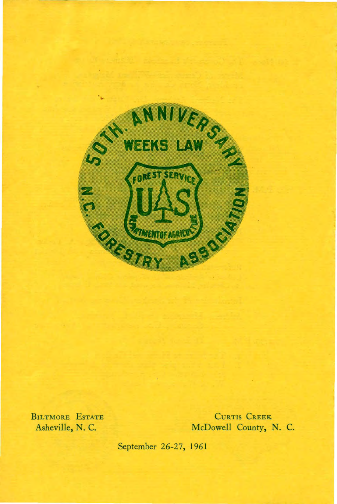

BILTMORE ESTATE Asheville, N. C.

CURTIS CREEK McDowell County, N. C.

September 26-27, 1961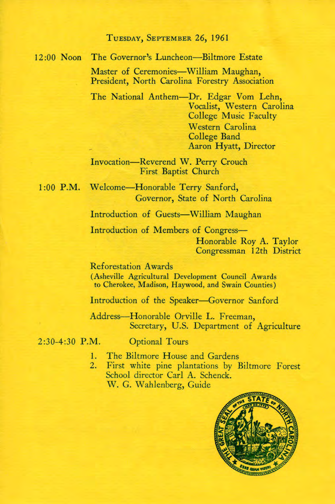## TUESDAY, SEPTEMBER 26, 1961

## 12:00 Noon The Governor's Luncheon-Biltmore Estate

Master of Ceremonies-William Maughan, President, North Carolina Forestry Association

The National Anthem-Dr. Edgar Vom Lehn, Vocalist, Western Carolina College Music Faculty Western Carolina College Band Aaron Hyatt, Director

Invocation-Reverend W. Perry Crouch First Baptist Church

1:00 P.M. Welcome-Honorable Terry Sanford, Governor, State of North Carolina

Introduction of Guests-William Maughan

Introduction of Members of Congress-Honorable Roy A. Taylor Congressman 12th District

Reforestation Awards (Asheville Agricultural Development Council Awards to Cherokee, Madison, Haywood, and Swain Counties)

Introduction of the Speaker-Governor Sanford

Address-Honorable Orville L. Freeman, Secretary, U.S. Department of Agriculture

2:30-4:30 P.M.

Optional Tours

- 1. The Biltmore House and Gardens
- 2. First white pine plantations by Biltmore Forest School director Carl A. Schenck. W. G. Wahlenberg, Guide

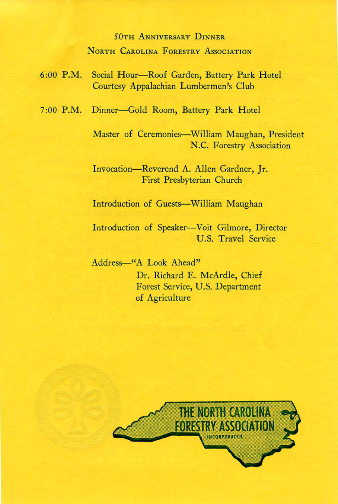## 50TH ANNIVERSARY DINNER NORTH CAROLINA FORESTRY ASSOCIATION

- 6:00 P.M. Social Hour-Roof Garden, Battery Park Hotel Courtesy Appalachian Lumbermen's Club
- 7:00 P.M. Dinner-Gold Room, Battery Park Hotel

Master of Ceremonies-William Maughan, President N.C. Forestry Association

Invocation-Reverend A. Allen Gardner, Jr. First Presbyterian Church

Introduction of Guests-William Maughan

Introduction of Speaker-Voit Gilmore, Director U.S. Travel Service

Address-"A Look Ahead" Dr. Richard E. McArdle, Chief Forest Service, U.S. Department of Agriculture